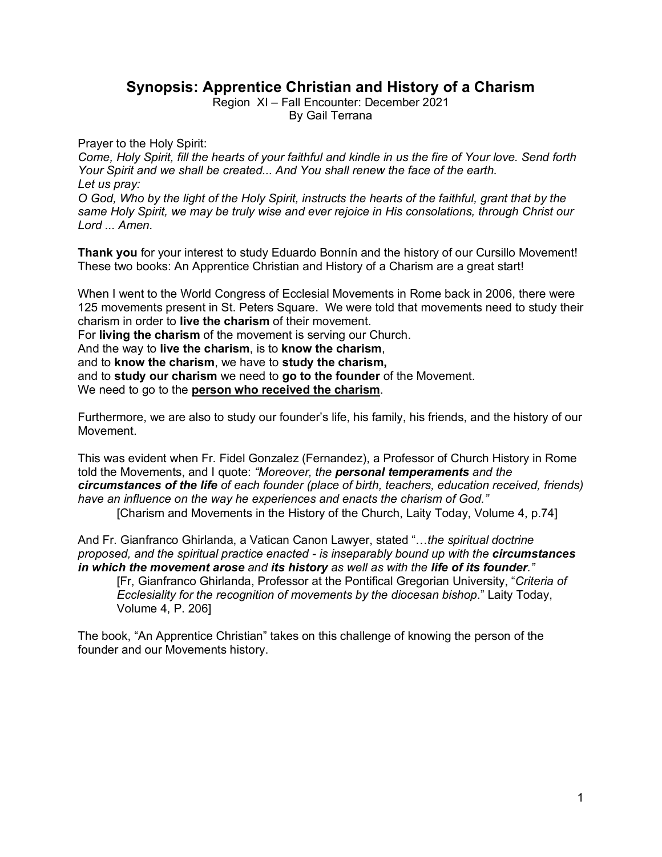## **Synopsis: Apprentice Christian and History of a Charism**

Region XI – Fall Encounter: December 2021

By Gail Terrana

Prayer to the Holy Spirit:

*Come, Holy Spirit, fill the hearts of your faithful and kindle in us the fire of Your love. Send forth Your Spirit and we shall be created... And You shall renew the face of the earth. Let us pray:* 

*O God, Who by the light of the Holy Spirit, instructs the hearts of the faithful, grant that by the same Holy Spirit, we may be truly wise and ever rejoice in His consolations, through Christ our Lord ... Amen.*

**Thank you** for your interest to study Eduardo Bonnín and the history of our Cursillo Movement! These two books: An Apprentice Christian and History of a Charism are a great start!

When I went to the World Congress of Ecclesial Movements in Rome back in 2006, there were 125 movements present in St. Peters Square. We were told that movements need to study their charism in order to **live the charism** of their movement.

For **living the charism** of the movement is serving our Church.

And the way to **live the charism**, is to **know the charism**,

and to **know the charism**, we have to **study the charism,**

and to **study our charism** we need to **go to the founder** of the Movement.

We need to go to the **person who received the charism**.

Furthermore, we are also to study our founder's life, his family, his friends, and the history of our Movement.

This was evident when Fr. Fidel Gonzalez (Fernandez), a Professor of Church History in Rome told the Movements, and I quote: *"Moreover, the personal temperaments and the circumstances of the life of each founder (place of birth, teachers, education received, friends) have an influence on the way he experiences and enacts the charism of God."*

[Charism and Movements in the History of the Church, Laity Today, Volume 4, p.74]

And Fr. Gianfranco Ghirlanda, a Vatican Canon Lawyer, stated "…*the spiritual doctrine proposed, and the spiritual practice enacted - is inseparably bound up with the circumstances in which the movement arose and its history as well as with the life of its founder."* 

[Fr, Gianfranco Ghirlanda, Professor at the Pontifical Gregorian University, "*Criteria of Ecclesiality for the recognition of movements by the diocesan bishop*." Laity Today, Volume 4, P. 206]

The book, "An Apprentice Christian" takes on this challenge of knowing the person of the founder and our Movements history.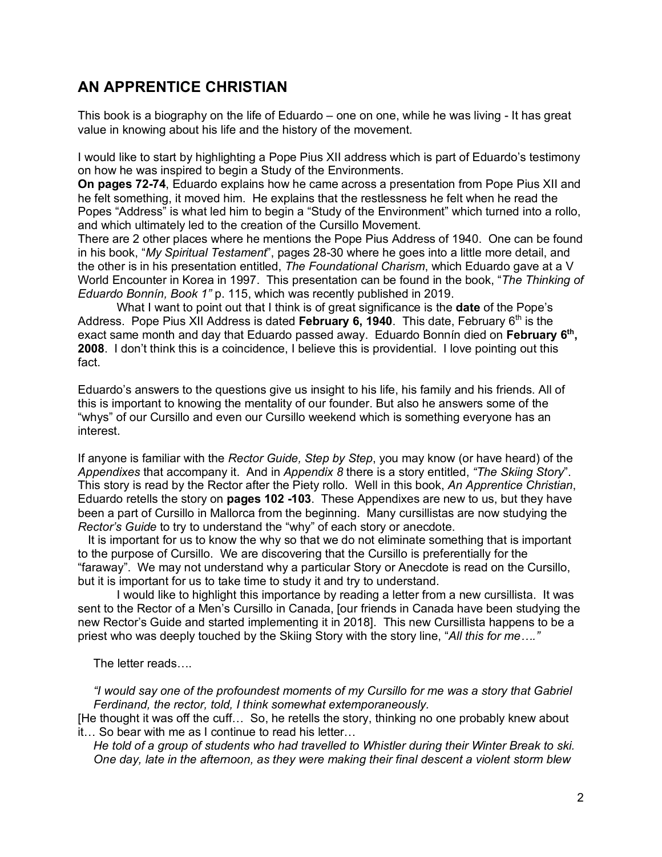# **AN APPRENTICE CHRISTIAN**

This book is a biography on the life of Eduardo – one on one, while he was living - It has great value in knowing about his life and the history of the movement.

I would like to start by highlighting a Pope Pius XII address which is part of Eduardo's testimony on how he was inspired to begin a Study of the Environments.

**On pages 72-74**, Eduardo explains how he came across a presentation from Pope Pius XII and he felt something, it moved him. He explains that the restlessness he felt when he read the Popes "Address" is what led him to begin a "Study of the Environment" which turned into a rollo, and which ultimately led to the creation of the Cursillo Movement.

There are 2 other places where he mentions the Pope Pius Address of 1940. One can be found in his book, "*My Spiritual Testament*", pages 28-30 where he goes into a little more detail, and the other is in his presentation entitled, *The Foundational Charism*, which Eduardo gave at a V World Encounter in Korea in 1997. This presentation can be found in the book, "*The Thinking of Eduardo Bonnín, Book 1"* p. 115, which was recently published in 2019.

What I want to point out that I think is of great significance is the **date** of the Pope's Address. Pope Pius XII Address is dated February 6, 1940. This date, February 6<sup>th</sup> is the exact same month and day that Eduardo passed away. Eduardo Bonnín died on February 6<sup>th</sup>, **2008**. I don't think this is a coincidence, I believe this is providential. I love pointing out this fact.

Eduardo's answers to the questions give us insight to his life, his family and his friends. All of this is important to knowing the mentality of our founder. But also he answers some of the "whys" of our Cursillo and even our Cursillo weekend which is something everyone has an interest.

If anyone is familiar with the *Rector Guide, Step by Step*, you may know (or have heard) of the *Appendixes* that accompany it. And in *Appendix 8* there is a story entitled, *"The Skiing Story*". This story is read by the Rector after the Piety rollo. Well in this book, *An Apprentice Christian*, Eduardo retells the story on **pages 102 -103**. These Appendixes are new to us, but they have been a part of Cursillo in Mallorca from the beginning. Many cursillistas are now studying the *Rector's Guide* to try to understand the "why" of each story or anecdote.

 It is important for us to know the why so that we do not eliminate something that is important to the purpose of Cursillo. We are discovering that the Cursillo is preferentially for the "faraway". We may not understand why a particular Story or Anecdote is read on the Cursillo, but it is important for us to take time to study it and try to understand.

I would like to highlight this importance by reading a letter from a new cursillista. It was sent to the Rector of a Men's Cursillo in Canada, [our friends in Canada have been studying the new Rector's Guide and started implementing it in 2018]. This new Cursillista happens to be a priest who was deeply touched by the Skiing Story with the story line, "*All this for me…."*

The letter reads….

*"I would say one of the profoundest moments of my Cursillo for me was a story that Gabriel Ferdinand, the rector, told, I think somewhat extemporaneously.* 

[He thought it was off the cuff… So, he retells the story, thinking no one probably knew about it… So bear with me as I continue to read his letter…

*He told of a group of students who had travelled to Whistler during their Winter Break to ski. One day, late in the afternoon, as they were making their final descent a violent storm blew*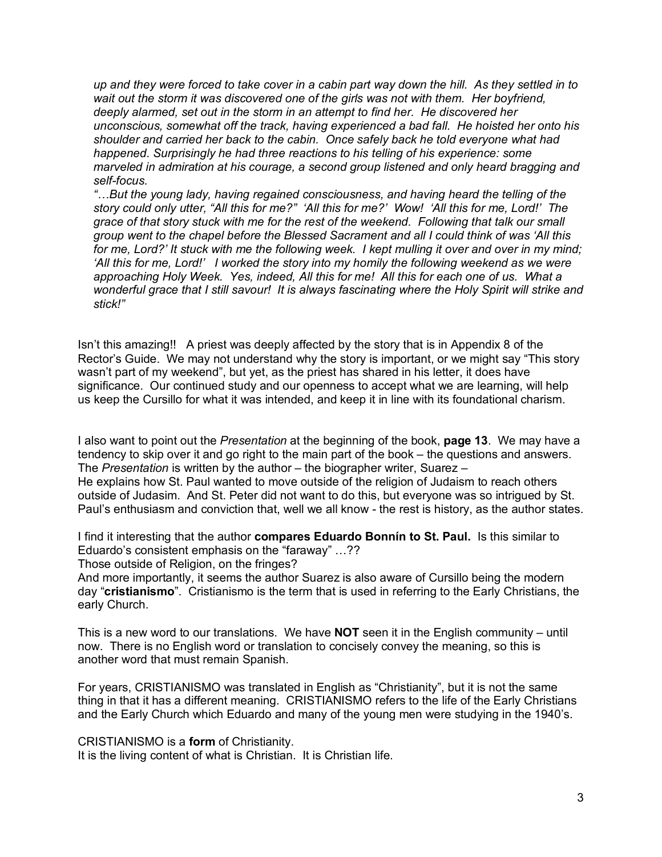*up and they were forced to take cover in a cabin part way down the hill. As they settled in to*  wait out the storm it was discovered one of the girls was not with them. Her boyfriend, *deeply alarmed, set out in the storm in an attempt to find her. He discovered her unconscious, somewhat off the track, having experienced a bad fall. He hoisted her onto his shoulder and carried her back to the cabin. Once safely back he told everyone what had happened. Surprisingly he had three reactions to his telling of his experience: some marveled in admiration at his courage, a second group listened and only heard bragging and self-focus.* 

*"…But the young lady, having regained consciousness, and having heard the telling of the story could only utter, "All this for me?" 'All this for me?' Wow! 'All this for me, Lord!' The grace of that story stuck with me for the rest of the weekend. Following that talk our small group went to the chapel before the Blessed Sacrament and all I could think of was 'All this for me, Lord?' It stuck with me the following week. I kept mulling it over and over in my mind; 'All this for me, Lord!' I worked the story into my homily the following weekend as we were approaching Holy Week. Yes, indeed, All this for me! All this for each one of us. What a wonderful grace that I still savour! It is always fascinating where the Holy Spirit will strike and stick!"*

Isn't this amazing!! A priest was deeply affected by the story that is in Appendix 8 of the Rector's Guide. We may not understand why the story is important, or we might say "This story wasn't part of my weekend", but yet, as the priest has shared in his letter, it does have significance. Our continued study and our openness to accept what we are learning, will help us keep the Cursillo for what it was intended, and keep it in line with its foundational charism.

I also want to point out the *Presentation* at the beginning of the book, **page 13**. We may have a tendency to skip over it and go right to the main part of the book – the questions and answers. The *Presentation* is written by the author – the biographer writer, Suarez – He explains how St. Paul wanted to move outside of the religion of Judaism to reach others outside of Judasim. And St. Peter did not want to do this, but everyone was so intrigued by St. Paul's enthusiasm and conviction that, well we all know - the rest is history, as the author states.

I find it interesting that the author **compares Eduardo Bonnín to St. Paul.** Is this similar to Eduardo's consistent emphasis on the "faraway" …??

Those outside of Religion, on the fringes?

And more importantly, it seems the author Suarez is also aware of Cursillo being the modern day "**cristianismo**". Cristianismo is the term that is used in referring to the Early Christians, the early Church.

This is a new word to our translations. We have **NOT** seen it in the English community – until now. There is no English word or translation to concisely convey the meaning, so this is another word that must remain Spanish.

For years, CRISTIANISMO was translated in English as "Christianity", but it is not the same thing in that it has a different meaning. CRISTIANISMO refers to the life of the Early Christians and the Early Church which Eduardo and many of the young men were studying in the 1940's.

CRISTIANISMO is a **form** of Christianity.

It is the living content of what is Christian. It is Christian life.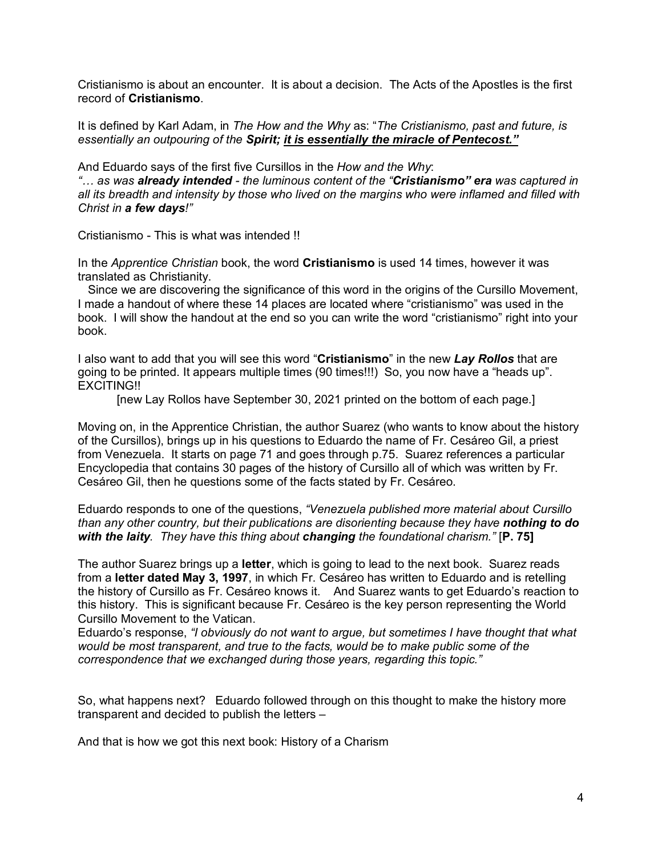Cristianismo is about an encounter. It is about a decision. The Acts of the Apostles is the first record of **Cristianismo**.

It is defined by Karl Adam, in *The How and the Why* as: "*The Cristianismo, past and future, is essentially an outpouring of the Spirit; it is essentially the miracle of Pentecost."*

And Eduardo says of the first five Cursillos in the *How and the Why*: *"… as was already intended - the luminous content of the "Cristianismo" era was captured in all its breadth and intensity by those who lived on the margins who were inflamed and filled with Christ in a few days!"* 

Cristianismo - This is what was intended !!

In the *Apprentice Christian* book, the word **Cristianismo** is used 14 times, however it was translated as Christianity.

 Since we are discovering the significance of this word in the origins of the Cursillo Movement, I made a handout of where these 14 places are located where "cristianismo" was used in the book. I will show the handout at the end so you can write the word "cristianismo" right into your book.

I also want to add that you will see this word "**Cristianismo**" in the new *Lay Rollos* that are going to be printed. It appears multiple times (90 times!!!) So, you now have a "heads up". EXCITING!!

[new Lay Rollos have September 30, 2021 printed on the bottom of each page.]

Moving on, in the Apprentice Christian, the author Suarez (who wants to know about the history of the Cursillos), brings up in his questions to Eduardo the name of Fr. Cesáreo Gil, a priest from Venezuela. It starts on page 71 and goes through p.75. Suarez references a particular Encyclopedia that contains 30 pages of the history of Cursillo all of which was written by Fr. Cesáreo Gil, then he questions some of the facts stated by Fr. Cesáreo.

Eduardo responds to one of the questions, *"Venezuela published more material about Cursillo than any other country, but their publications are disorienting because they have nothing to do with the laity. They have this thing about changing the foundational charism."* [**P. 75]**

The author Suarez brings up a **letter**, which is going to lead to the next book. Suarez reads from a **letter dated May 3, 1997**, in which Fr. Cesáreo has written to Eduardo and is retelling the history of Cursillo as Fr. Cesáreo knows it. And Suarez wants to get Eduardo's reaction to this history. This is significant because Fr. Cesáreo is the key person representing the World Cursillo Movement to the Vatican.

Eduardo's response, *"I obviously do not want to argue, but sometimes I have thought that what would be most transparent, and true to the facts, would be to make public some of the correspondence that we exchanged during those years, regarding this topic."*

So, what happens next? Eduardo followed through on this thought to make the history more transparent and decided to publish the letters –

And that is how we got this next book: History of a Charism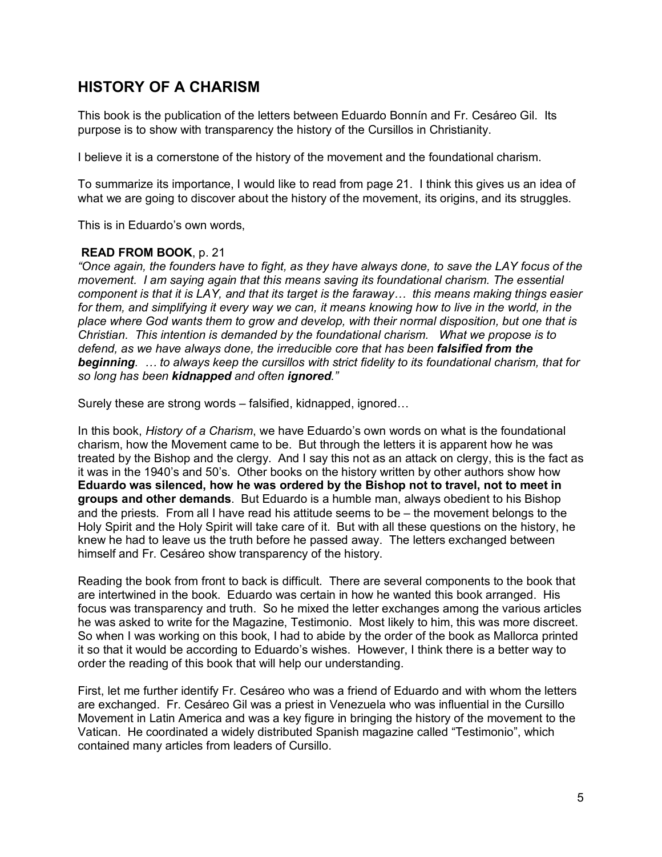# **HISTORY OF A CHARISM**

This book is the publication of the letters between Eduardo Bonnín and Fr. Cesáreo Gil. Its purpose is to show with transparency the history of the Cursillos in Christianity.

I believe it is a cornerstone of the history of the movement and the foundational charism.

To summarize its importance, I would like to read from page 21. I think this gives us an idea of what we are going to discover about the history of the movement, its origins, and its struggles.

This is in Eduardo's own words,

#### **READ FROM BOOK**, p. 21

*"Once again, the founders have to fight, as they have always done, to save the LAY focus of the movement. I am saying again that this means saving its foundational charism. The essential component is that it is LAY, and that its target is the faraway… this means making things easier*  for them, and simplifying it every way we can, it means knowing how to live in the world, in the *place where God wants them to grow and develop, with their normal disposition, but one that is Christian. This intention is demanded by the foundational charism. What we propose is to defend, as we have always done, the irreducible core that has been falsified from the beginning. … to always keep the cursillos with strict fidelity to its foundational charism, that for so long has been kidnapped and often ignored."*

Surely these are strong words – falsified, kidnapped, ignored…

In this book, *History of a Charism*, we have Eduardo's own words on what is the foundational charism, how the Movement came to be. But through the letters it is apparent how he was treated by the Bishop and the clergy. And I say this not as an attack on clergy, this is the fact as it was in the 1940's and 50's. Other books on the history written by other authors show how **Eduardo was silenced, how he was ordered by the Bishop not to travel, not to meet in groups and other demands**. But Eduardo is a humble man, always obedient to his Bishop and the priests. From all I have read his attitude seems to be – the movement belongs to the Holy Spirit and the Holy Spirit will take care of it. But with all these questions on the history, he knew he had to leave us the truth before he passed away. The letters exchanged between himself and Fr. Cesáreo show transparency of the history.

Reading the book from front to back is difficult. There are several components to the book that are intertwined in the book. Eduardo was certain in how he wanted this book arranged. His focus was transparency and truth. So he mixed the letter exchanges among the various articles he was asked to write for the Magazine, Testimonio. Most likely to him, this was more discreet. So when I was working on this book, I had to abide by the order of the book as Mallorca printed it so that it would be according to Eduardo's wishes. However, I think there is a better way to order the reading of this book that will help our understanding.

First, let me further identify Fr. Cesáreo who was a friend of Eduardo and with whom the letters are exchanged. Fr. Cesáreo Gil was a priest in Venezuela who was influential in the Cursillo Movement in Latin America and was a key figure in bringing the history of the movement to the Vatican. He coordinated a widely distributed Spanish magazine called "Testimonio", which contained many articles from leaders of Cursillo.